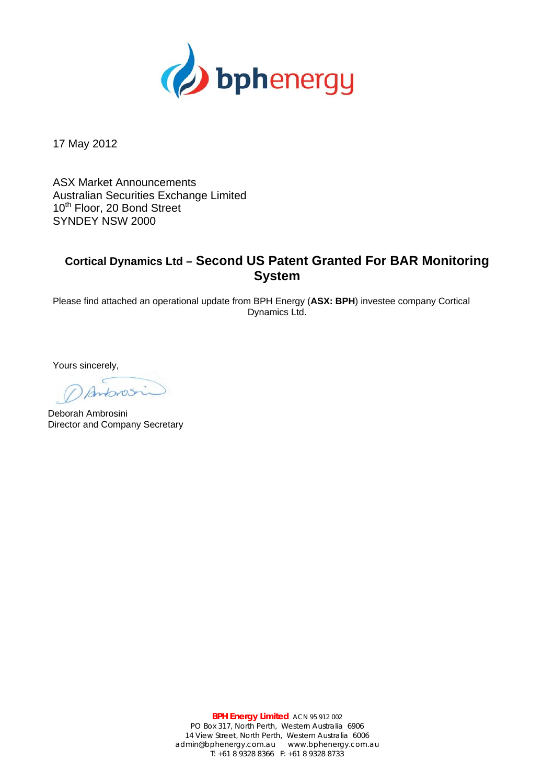

17 May 2012

ASX Market Announcements Australian Securities Exchange Limited 10<sup>th</sup> Floor, 20 Bond Street SYNDEY NSW 2000

## **Cortical Dynamics Ltd – Second US Patent Granted For BAR Monitoring System**

Please find attached an operational update from BPH Energy (**ASX: BPH**) investee company Cortical Dynamics Ltd.

Yours sincerely,

Antonos

Deborah Ambrosini Director and Company Secretary

**BPH Energy Limited** ACN 95 912 002 PO Box 317, North Perth, Western Australia 6906 14 View Street, North Perth, Western Australia 6006 admin@bphenergy.com.au www.bphenergy.com.au T: +61 8 9328 8366 F: +61 8 9328 8733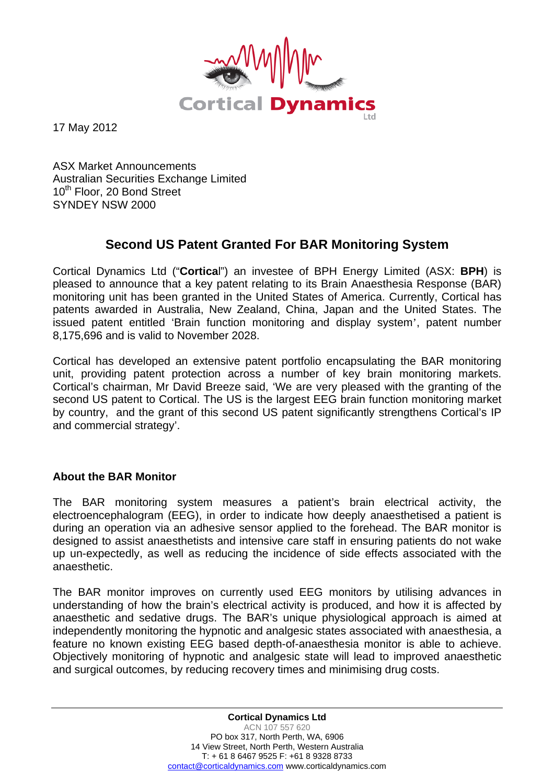

17 May 2012

ASX Market Announcements Australian Securities Exchange Limited 10<sup>th</sup> Floor, 20 Bond Street SYNDEY NSW 2000

## **Second US Patent Granted For BAR Monitoring System**

Cortical Dynamics Ltd ("**Cortica**l") an investee of BPH Energy Limited (ASX: **BPH**) is pleased to announce that a key patent relating to its Brain Anaesthesia Response (BAR) monitoring unit has been granted in the United States of America. Currently, Cortical has patents awarded in Australia, New Zealand, China, Japan and the United States. The issued patent entitled 'Brain function monitoring and display system', patent number 8,175,696 and is valid to November 2028.

Cortical has developed an extensive patent portfolio encapsulating the BAR monitoring unit, providing patent protection across a number of key brain monitoring markets. Cortical's chairman, Mr David Breeze said, 'We are very pleased with the granting of the second US patent to Cortical. The US is the largest EEG brain function monitoring market by country, and the grant of this second US patent significantly strengthens Cortical's IP and commercial strategy'.

## **About the BAR Monitor**

The BAR monitoring system measures a patient's brain electrical activity, the electroencephalogram (EEG), in order to indicate how deeply anaesthetised a patient is during an operation via an adhesive sensor applied to the forehead. The BAR monitor is designed to assist anaesthetists and intensive care staff in ensuring patients do not wake up un-expectedly, as well as reducing the incidence of side effects associated with the anaesthetic.

The BAR monitor improves on currently used EEG monitors by utilising advances in understanding of how the brain's electrical activity is produced, and how it is affected by anaesthetic and sedative drugs. The BAR's unique physiological approach is aimed at independently monitoring the hypnotic and analgesic states associated with anaesthesia, a feature no known existing EEG based depth-of-anaesthesia monitor is able to achieve. Objectively monitoring of hypnotic and analgesic state will lead to improved anaesthetic and surgical outcomes, by reducing recovery times and minimising drug costs.